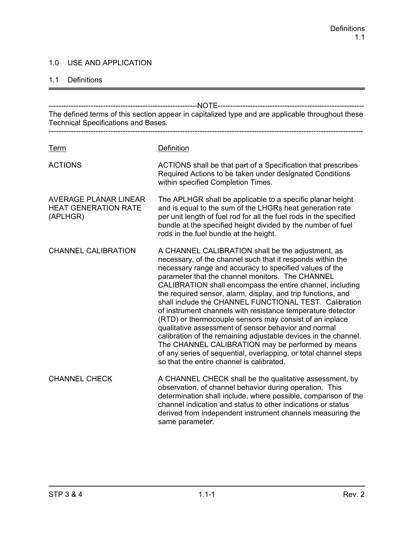### 1.0 USE AND APPLICATION

#### 1.1 Definitions

------------------------------------------------------------NOTE----------------------------------------------------------- The defined terms of this section appear in capitalized type and are applicable throughout these Technical Specifications and Bases. ------------------------------------------------------------------------------------------------------------------------------- Term Definition ACTIONS ACTIONS shall be that part of a Specification that prescribes Required Actions to be taken under designated Conditions within specified Completion Times. AVERAGE PLANAR LINEAR The APLHGR shall be applicable to a specific planar height HEAT GENERATION RATE and is equal to the sum of the LHGRs heat generation rate (APLHGR) per unit length of fuel rod for all the fuel rods in the specified bundle at the specified height divided by the number of fuel rods in the fuel bundle at the height. CHANNEL CALIBRATION A CHANNEL CALIBRATION shall be the adjustment, as necessary, of the channel such that it responds within the necessary range and accuracy to specified values of the parameter that the channel monitors. The CHANNEL CALIBRATION shall encompass the entire channel, including the required sensor, alarm, display, and trip functions, and shall include the CHANNEL FUNCTIONAL TEST. Calibration of instrument channels with resistance temperature detector (RTD) or thermocouple sensors may consist of an inplace qualitative assessment of sensor behavior and normal calibration of the remaining adjustable devices in the channel. The CHANNEL CALIBRATION may be performed by means of any series of sequential, overlapping, or total channel steps so that the entire channel is calibrated. CHANNEL CHECK A CHANNEL CHECK shall be the qualitative assessment, by observation, of channel behavior during operation. This determination shall include, where possible, comparison of the channel indication and status to other indications or status derived from independent instrument channels measuring the same parameter.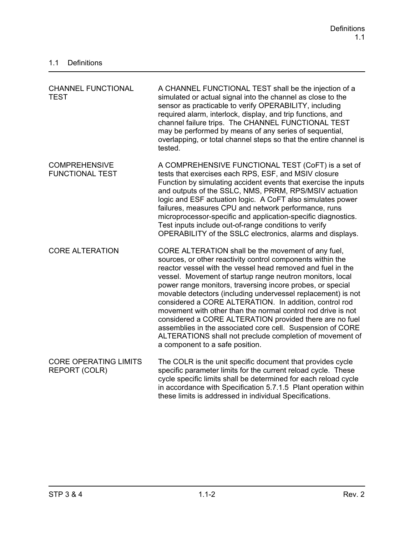| <b>CHANNEL FUNCTIONAL</b><br><b>TEST</b>             | A CHANNEL FUNCTIONAL TEST shall be the injection of a<br>simulated or actual signal into the channel as close to the<br>sensor as practicable to verify OPERABILITY, including<br>required alarm, interlock, display, and trip functions, and<br>channel failure trips. The CHANNEL FUNCTIONAL TEST<br>may be performed by means of any series of sequential,<br>overlapping, or total channel steps so that the entire channel is<br>tested.                                                                                                                                                                                                                                                                                |
|------------------------------------------------------|------------------------------------------------------------------------------------------------------------------------------------------------------------------------------------------------------------------------------------------------------------------------------------------------------------------------------------------------------------------------------------------------------------------------------------------------------------------------------------------------------------------------------------------------------------------------------------------------------------------------------------------------------------------------------------------------------------------------------|
| <b>COMPREHENSIVE</b><br><b>FUNCTIONAL TEST</b>       | A COMPREHENSIVE FUNCTIONAL TEST (CoFT) is a set of<br>tests that exercises each RPS, ESF, and MSIV closure<br>Function by simulating accident events that exercise the inputs<br>and outputs of the SSLC, NMS, PRRM, RPS/MSIV actuation<br>logic and ESF actuation logic. A CoFT also simulates power<br>failures, measures CPU and network performance, runs<br>microprocessor-specific and application-specific diagnostics.<br>Test inputs include out-of-range conditions to verify<br>OPERABILITY of the SSLC electronics, alarms and displays.                                                                                                                                                                         |
| <b>CORE ALTERATION</b>                               | CORE ALTERATION shall be the movement of any fuel,<br>sources, or other reactivity control components within the<br>reactor vessel with the vessel head removed and fuel in the<br>vessel. Movement of startup range neutron monitors, local<br>power range monitors, traversing incore probes, or special<br>movable detectors (including undervessel replacement) is not<br>considered a CORE ALTERATION. In addition, control rod<br>movement with other than the normal control rod drive is not<br>considered a CORE ALTERATION provided there are no fuel<br>assemblies in the associated core cell. Suspension of CORE<br>ALTERATIONS shall not preclude completion of movement of<br>a component to a safe position. |
| <b>CORE OPERATING LIMITS</b><br><b>REPORT (COLR)</b> | The COLR is the unit specific document that provides cycle<br>specific parameter limits for the current reload cycle. These<br>cycle specific limits shall be determined for each reload cycle<br>in accordance with Specification 5.7.1.5 Plant operation within<br>these limits is addressed in individual Specifications.                                                                                                                                                                                                                                                                                                                                                                                                 |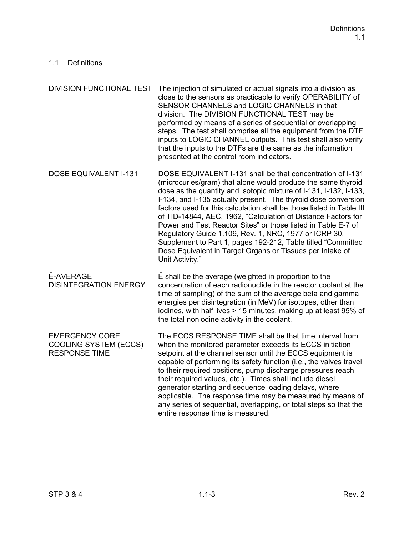| <b>DIVISION FUNCTIONAL TEST</b>                                               | The injection of simulated or actual signals into a division as<br>close to the sensors as practicable to verify OPERABILITY of<br>SENSOR CHANNELS and LOGIC CHANNELS in that<br>division. The DIVISION FUNCTIONAL TEST may be<br>performed by means of a series of sequential or overlapping<br>steps. The test shall comprise all the equipment from the DTF<br>inputs to LOGIC CHANNEL outputs. This test shall also verify<br>that the inputs to the DTFs are the same as the information<br>presented at the control room indicators.                                                                                                                                           |
|-------------------------------------------------------------------------------|--------------------------------------------------------------------------------------------------------------------------------------------------------------------------------------------------------------------------------------------------------------------------------------------------------------------------------------------------------------------------------------------------------------------------------------------------------------------------------------------------------------------------------------------------------------------------------------------------------------------------------------------------------------------------------------|
| <b>DOSE EQUIVALENT I-131</b>                                                  | DOSE EQUIVALENT I-131 shall be that concentration of I-131<br>(microcuries/gram) that alone would produce the same thyroid<br>dose as the quantity and isotopic mixture of I-131, I-132, I-133,<br>I-134, and I-135 actually present. The thyroid dose conversion<br>factors used for this calculation shall be those listed in Table III<br>of TID-14844, AEC, 1962, "Calculation of Distance Factors for<br>Power and Test Reactor Sites" or those listed in Table E-7 of<br>Regulatory Guide 1.109, Rev. 1, NRC, 1977 or ICRP 30,<br>Supplement to Part 1, pages 192-212, Table titled "Committed<br>Dose Equivalent in Target Organs or Tissues per Intake of<br>Unit Activity." |
| <b>Ē-AVERAGE</b><br><b>DISINTEGRATION ENERGY</b>                              | $\bar{E}$ shall be the average (weighted in proportion to the<br>concentration of each radionuclide in the reactor coolant at the<br>time of sampling) of the sum of the average beta and gamma<br>energies per disintegration (in MeV) for isotopes, other than<br>iodines, with half lives > 15 minutes, making up at least 95% of<br>the total noniodine activity in the coolant.                                                                                                                                                                                                                                                                                                 |
| <b>EMERGENCY CORE</b><br><b>COOLING SYSTEM (ECCS)</b><br><b>RESPONSE TIME</b> | The ECCS RESPONSE TIME shall be that time interval from<br>when the monitored parameter exceeds its ECCS initiation<br>setpoint at the channel sensor until the ECCS equipment is<br>capable of performing its safety function (i.e., the valves travel<br>to their required positions, pump discharge pressures reach<br>their required values, etc.). Times shall include diesel<br>generator starting and sequence loading delays, where<br>applicable. The response time may be measured by means of<br>any series of sequential, overlapping, or total steps so that the<br>entire response time is measured.                                                                   |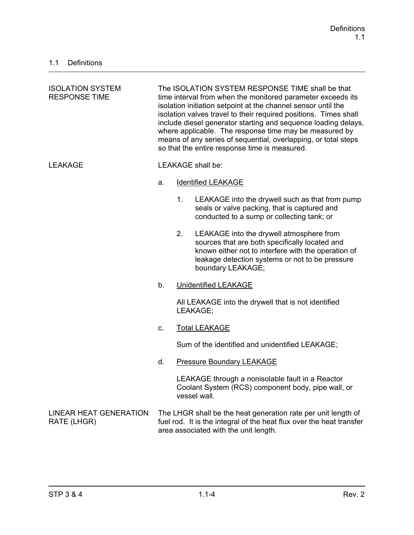| <b>ISOLATION SYSTEM</b><br><b>RESPONSE TIME</b> | The ISOLATION SYSTEM RESPONSE TIME shall be that<br>time interval from when the monitored parameter exceeds its<br>isolation initiation setpoint at the channel sensor until the<br>isolation valves travel to their required positions. Times shall<br>include diesel generator starting and sequence loading delays,<br>where applicable. The response time may be measured by<br>means of any series of sequential, overlapping, or total steps<br>so that the entire response time is measured. |    |                                                                                                                                                                                                                           |
|-------------------------------------------------|-----------------------------------------------------------------------------------------------------------------------------------------------------------------------------------------------------------------------------------------------------------------------------------------------------------------------------------------------------------------------------------------------------------------------------------------------------------------------------------------------------|----|---------------------------------------------------------------------------------------------------------------------------------------------------------------------------------------------------------------------------|
| <b>LEAKAGE</b>                                  |                                                                                                                                                                                                                                                                                                                                                                                                                                                                                                     |    | <b>LEAKAGE</b> shall be:                                                                                                                                                                                                  |
|                                                 | a.                                                                                                                                                                                                                                                                                                                                                                                                                                                                                                  |    | <b>Identified LEAKAGE</b>                                                                                                                                                                                                 |
|                                                 |                                                                                                                                                                                                                                                                                                                                                                                                                                                                                                     | 1. | LEAKAGE into the drywell such as that from pump<br>seals or valve packing, that is captured and<br>conducted to a sump or collecting tank; or                                                                             |
|                                                 |                                                                                                                                                                                                                                                                                                                                                                                                                                                                                                     | 2. | LEAKAGE into the drywell atmosphere from<br>sources that are both specifically located and<br>known either not to interfere with the operation of<br>leakage detection systems or not to be pressure<br>boundary LEAKAGE; |
|                                                 | b.                                                                                                                                                                                                                                                                                                                                                                                                                                                                                                  |    | <b>Unidentified LEAKAGE</b>                                                                                                                                                                                               |
|                                                 |                                                                                                                                                                                                                                                                                                                                                                                                                                                                                                     |    | All LEAKAGE into the drywell that is not identified<br>LEAKAGE;                                                                                                                                                           |
|                                                 | C.                                                                                                                                                                                                                                                                                                                                                                                                                                                                                                  |    | <b>Total LEAKAGE</b>                                                                                                                                                                                                      |
|                                                 |                                                                                                                                                                                                                                                                                                                                                                                                                                                                                                     |    | Sum of the identified and unidentified LEAKAGE;                                                                                                                                                                           |
|                                                 | d.                                                                                                                                                                                                                                                                                                                                                                                                                                                                                                  |    | <b>Pressure Boundary LEAKAGE</b>                                                                                                                                                                                          |
|                                                 |                                                                                                                                                                                                                                                                                                                                                                                                                                                                                                     |    | LEAKAGE through a nonisolable fault in a Reactor<br>Coolant System (RCS) component body, pipe wall, or<br>vessel wall.                                                                                                    |
| <b>LINEAR HEAT GENERATION</b><br>RATE (LHGR)    |                                                                                                                                                                                                                                                                                                                                                                                                                                                                                                     |    | The LHGR shall be the heat generation rate per unit length of<br>fuel rod. It is the integral of the heat flux over the heat transfer<br>area associated with the unit length.                                            |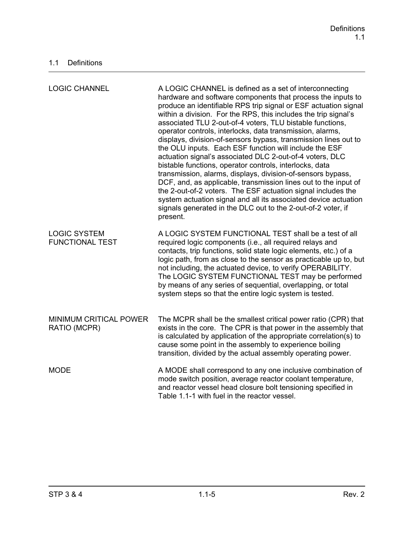| <b>LOGIC CHANNEL</b>                          | A LOGIC CHANNEL is defined as a set of interconnecting<br>hardware and software components that process the inputs to<br>produce an identifiable RPS trip signal or ESF actuation signal<br>within a division. For the RPS, this includes the trip signal's<br>associated TLU 2-out-of-4 voters, TLU bistable functions,<br>operator controls, interlocks, data transmission, alarms,<br>displays, division-of-sensors bypass, transmission lines out to<br>the OLU inputs. Each ESF function will include the ESF<br>actuation signal's associated DLC 2-out-of-4 voters, DLC<br>bistable functions, operator controls, interlocks, data<br>transmission, alarms, displays, division-of-sensors bypass,<br>DCF, and, as applicable, transmission lines out to the input of<br>the 2-out-of-2 voters. The ESF actuation signal includes the<br>system actuation signal and all its associated device actuation<br>signals generated in the DLC out to the 2-out-of-2 voter, if<br>present. |
|-----------------------------------------------|--------------------------------------------------------------------------------------------------------------------------------------------------------------------------------------------------------------------------------------------------------------------------------------------------------------------------------------------------------------------------------------------------------------------------------------------------------------------------------------------------------------------------------------------------------------------------------------------------------------------------------------------------------------------------------------------------------------------------------------------------------------------------------------------------------------------------------------------------------------------------------------------------------------------------------------------------------------------------------------------|
| <b>LOGIC SYSTEM</b><br><b>FUNCTIONAL TEST</b> | A LOGIC SYSTEM FUNCTIONAL TEST shall be a test of all<br>required logic components (i.e., all required relays and<br>contacts, trip functions, solid state logic elements, etc.) of a<br>logic path, from as close to the sensor as practicable up to, but<br>not including, the actuated device, to verify OPERABILITY.<br>The LOGIC SYSTEM FUNCTIONAL TEST may be performed<br>by means of any series of sequential, overlapping, or total<br>system steps so that the entire logic system is tested.                                                                                                                                                                                                                                                                                                                                                                                                                                                                                    |
| MINIMUM CRITICAL POWER<br>RATIO (MCPR)        | The MCPR shall be the smallest critical power ratio (CPR) that<br>exists in the core. The CPR is that power in the assembly that<br>is calculated by application of the appropriate correlation(s) to<br>cause some point in the assembly to experience boiling<br>transition, divided by the actual assembly operating power.                                                                                                                                                                                                                                                                                                                                                                                                                                                                                                                                                                                                                                                             |
| <b>MODE</b>                                   | A MODE shall correspond to any one inclusive combination of<br>mode switch position, average reactor coolant temperature,<br>and reactor vessel head closure bolt tensioning specified in<br>Table 1.1-1 with fuel in the reactor vessel.                                                                                                                                                                                                                                                                                                                                                                                                                                                                                                                                                                                                                                                                                                                                                  |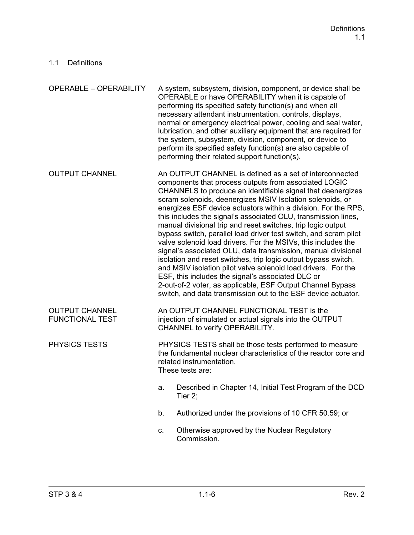| <b>OPERABLE - OPERABILITY</b>                   |                                                                                                                                                                                                                                                                                                                                                                                                                                                                                                                                                                                                                                                                                                                                                                                                                                                                                                                                                                               | A system, subsystem, division, component, or device shall be<br>OPERABLE or have OPERABILITY when it is capable of<br>performing its specified safety function(s) and when all<br>necessary attendant instrumentation, controls, displays,<br>normal or emergency electrical power, cooling and seal water,<br>lubrication, and other auxiliary equipment that are required for<br>the system, subsystem, division, component, or device to<br>perform its specified safety function(s) are also capable of<br>performing their related support function(s). |
|-------------------------------------------------|-------------------------------------------------------------------------------------------------------------------------------------------------------------------------------------------------------------------------------------------------------------------------------------------------------------------------------------------------------------------------------------------------------------------------------------------------------------------------------------------------------------------------------------------------------------------------------------------------------------------------------------------------------------------------------------------------------------------------------------------------------------------------------------------------------------------------------------------------------------------------------------------------------------------------------------------------------------------------------|--------------------------------------------------------------------------------------------------------------------------------------------------------------------------------------------------------------------------------------------------------------------------------------------------------------------------------------------------------------------------------------------------------------------------------------------------------------------------------------------------------------------------------------------------------------|
| <b>OUTPUT CHANNEL</b>                           | An OUTPUT CHANNEL is defined as a set of interconnected<br>components that process outputs from associated LOGIC<br>CHANNELS to produce an identifiable signal that deenergizes<br>scram solenoids, deenergizes MSIV Isolation solenoids, or<br>energizes ESF device actuators within a division. For the RPS,<br>this includes the signal's associated OLU, transmission lines,<br>manual divisional trip and reset switches, trip logic output<br>bypass switch, parallel load driver test switch, and scram pilot<br>valve solenoid load drivers. For the MSIVs, this includes the<br>signal's associated OLU, data transmission, manual divisional<br>isolation and reset switches, trip logic output bypass switch,<br>and MSIV isolation pilot valve solenoid load drivers. For the<br>ESF, this includes the signal's associated DLC or<br>2-out-of-2 voter, as applicable, ESF Output Channel Bypass<br>switch, and data transmission out to the ESF device actuator. |                                                                                                                                                                                                                                                                                                                                                                                                                                                                                                                                                              |
| <b>OUTPUT CHANNEL</b><br><b>FUNCTIONAL TEST</b> |                                                                                                                                                                                                                                                                                                                                                                                                                                                                                                                                                                                                                                                                                                                                                                                                                                                                                                                                                                               | An OUTPUT CHANNEL FUNCTIONAL TEST is the<br>injection of simulated or actual signals into the OUTPUT<br>CHANNEL to verify OPERABILITY.                                                                                                                                                                                                                                                                                                                                                                                                                       |
| <b>PHYSICS TESTS</b>                            | PHYSICS TESTS shall be those tests performed to measure<br>the fundamental nuclear characteristics of the reactor core and<br>related instrumentation.<br>These tests are:                                                                                                                                                                                                                                                                                                                                                                                                                                                                                                                                                                                                                                                                                                                                                                                                    |                                                                                                                                                                                                                                                                                                                                                                                                                                                                                                                                                              |
|                                                 | a.                                                                                                                                                                                                                                                                                                                                                                                                                                                                                                                                                                                                                                                                                                                                                                                                                                                                                                                                                                            | Described in Chapter 14, Initial Test Program of the DCD<br>Tier $2$ ;                                                                                                                                                                                                                                                                                                                                                                                                                                                                                       |
|                                                 | b.                                                                                                                                                                                                                                                                                                                                                                                                                                                                                                                                                                                                                                                                                                                                                                                                                                                                                                                                                                            | Authorized under the provisions of 10 CFR 50.59; or                                                                                                                                                                                                                                                                                                                                                                                                                                                                                                          |
|                                                 | C.                                                                                                                                                                                                                                                                                                                                                                                                                                                                                                                                                                                                                                                                                                                                                                                                                                                                                                                                                                            | Otherwise approved by the Nuclear Regulatory<br>Commission.                                                                                                                                                                                                                                                                                                                                                                                                                                                                                                  |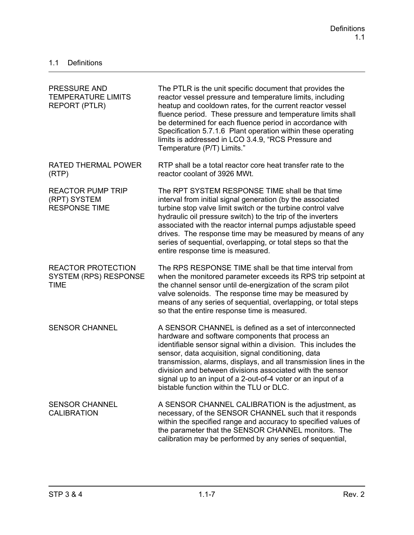| PRESSURE AND<br><b>TEMPERATURE LIMITS</b><br><b>REPORT (PTLR)</b>        | The PTLR is the unit specific document that provides the<br>reactor vessel pressure and temperature limits, including<br>heatup and cooldown rates, for the current reactor vessel<br>fluence period. These pressure and temperature limits shall<br>be determined for each fluence period in accordance with<br>Specification 5.7.1.6 Plant operation within these operating<br>limits is addressed in LCO 3.4.9, "RCS Pressure and<br>Temperature (P/T) Limits."                 |
|--------------------------------------------------------------------------|------------------------------------------------------------------------------------------------------------------------------------------------------------------------------------------------------------------------------------------------------------------------------------------------------------------------------------------------------------------------------------------------------------------------------------------------------------------------------------|
| <b>RATED THERMAL POWER</b><br>(RTP)                                      | RTP shall be a total reactor core heat transfer rate to the<br>reactor coolant of 3926 MWt.                                                                                                                                                                                                                                                                                                                                                                                        |
| <b>REACTOR PUMP TRIP</b><br>(RPT) SYSTEM<br><b>RESPONSE TIME</b>         | The RPT SYSTEM RESPONSE TIME shall be that time<br>interval from initial signal generation (by the associated<br>turbine stop valve limit switch or the turbine control valve<br>hydraulic oil pressure switch) to the trip of the inverters<br>associated with the reactor internal pumps adjustable speed<br>drives. The response time may be measured by means of any<br>series of sequential, overlapping, or total steps so that the<br>entire response time is measured.     |
| <b>REACTOR PROTECTION</b><br><b>SYSTEM (RPS) RESPONSE</b><br><b>TIME</b> | The RPS RESPONSE TIME shall be that time interval from<br>when the monitored parameter exceeds its RPS trip setpoint at<br>the channel sensor until de-energization of the scram pilot<br>valve solenoids. The response time may be measured by<br>means of any series of sequential, overlapping, or total steps<br>so that the entire response time is measured.                                                                                                                 |
| <b>SENSOR CHANNEL</b>                                                    | A SENSOR CHANNEL is defined as a set of interconnected<br>hardware and software components that process an<br>identifiable sensor signal within a division. This includes the<br>sensor, data acquisition, signal conditioning, data<br>transmission, alarms, displays, and all transmission lines in the<br>division and between divisions associated with the sensor<br>signal up to an input of a 2-out-of-4 voter or an input of a<br>bistable function within the TLU or DLC. |
| <b>SENSOR CHANNEL</b><br><b>CALIBRATION</b>                              | A SENSOR CHANNEL CALIBRATION is the adjustment, as<br>necessary, of the SENSOR CHANNEL such that it responds<br>within the specified range and accuracy to specified values of<br>the parameter that the SENSOR CHANNEL monitors. The<br>calibration may be performed by any series of sequential,                                                                                                                                                                                 |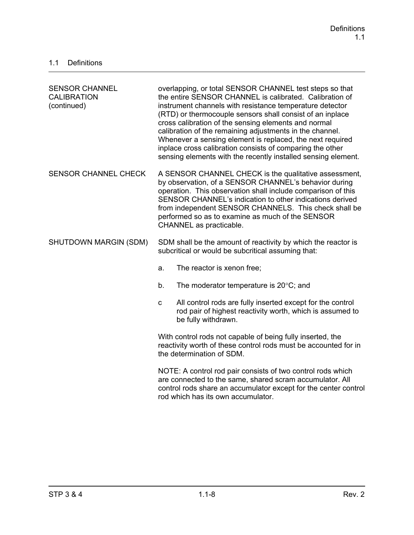| <b>SENSOR CHANNEL</b><br><b>CALIBRATION</b><br>(continued) | overlapping, or total SENSOR CHANNEL test steps so that<br>the entire SENSOR CHANNEL is calibrated. Calibration of<br>instrument channels with resistance temperature detector<br>(RTD) or thermocouple sensors shall consist of an inplace<br>cross calibration of the sensing elements and normal<br>calibration of the remaining adjustments in the channel.<br>Whenever a sensing element is replaced, the next required<br>inplace cross calibration consists of comparing the other<br>sensing elements with the recently installed sensing element. |  |
|------------------------------------------------------------|------------------------------------------------------------------------------------------------------------------------------------------------------------------------------------------------------------------------------------------------------------------------------------------------------------------------------------------------------------------------------------------------------------------------------------------------------------------------------------------------------------------------------------------------------------|--|
| <b>SENSOR CHANNEL CHECK</b>                                | A SENSOR CHANNEL CHECK is the qualitative assessment,<br>by observation, of a SENSOR CHANNEL's behavior during<br>operation. This observation shall include comparison of this<br>SENSOR CHANNEL's indication to other indications derived<br>from independent SENSOR CHANNELS. This check shall be<br>performed so as to examine as much of the SENSOR<br>CHANNEL as practicable.                                                                                                                                                                         |  |
| SHUTDOWN MARGIN (SDM)                                      | SDM shall be the amount of reactivity by which the reactor is<br>subcritical or would be subcritical assuming that:                                                                                                                                                                                                                                                                                                                                                                                                                                        |  |
|                                                            | The reactor is xenon free;<br>a.                                                                                                                                                                                                                                                                                                                                                                                                                                                                                                                           |  |
|                                                            | The moderator temperature is $20^{\circ}$ C; and<br>b.                                                                                                                                                                                                                                                                                                                                                                                                                                                                                                     |  |
|                                                            | All control rods are fully inserted except for the control<br>$\mathbf C$<br>rod pair of highest reactivity worth, which is assumed to<br>be fully withdrawn.                                                                                                                                                                                                                                                                                                                                                                                              |  |
|                                                            | With control rods not capable of being fully inserted, the<br>reactivity worth of these control rods must be accounted for in<br>the determination of SDM.                                                                                                                                                                                                                                                                                                                                                                                                 |  |
|                                                            | NOTE: A control rod pair consists of two control rods which<br>are connected to the same, shared scram accumulator. All<br>control rods share an accumulator except for the center control<br>rod which has its own accumulator.                                                                                                                                                                                                                                                                                                                           |  |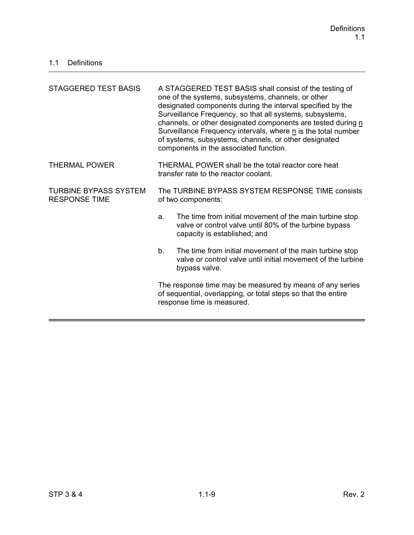| STAGGERED TEST BASIS                                 | A STAGGERED TEST BASIS shall consist of the testing of<br>one of the systems, subsystems, channels, or other<br>designated components during the interval specified by the<br>Surveillance Frequency, so that all systems, subsystems,<br>channels, or other designated components are tested during n<br>Surveillance Frequency intervals, where n is the total number<br>of systems, subsystems, channels, or other designated<br>components in the associated function. |  |
|------------------------------------------------------|----------------------------------------------------------------------------------------------------------------------------------------------------------------------------------------------------------------------------------------------------------------------------------------------------------------------------------------------------------------------------------------------------------------------------------------------------------------------------|--|
| <b>THERMAL POWER</b>                                 | THERMAL POWER shall be the total reactor core heat<br>transfer rate to the reactor coolant.                                                                                                                                                                                                                                                                                                                                                                                |  |
| <b>TURBINE BYPASS SYSTEM</b><br><b>RESPONSE TIME</b> | The TURBINE BYPASS SYSTEM RESPONSE TIME consists<br>of two components:                                                                                                                                                                                                                                                                                                                                                                                                     |  |
|                                                      | The time from initial movement of the main turbine stop<br>a.<br>valve or control valve until 80% of the turbine bypass<br>capacity is established; and                                                                                                                                                                                                                                                                                                                    |  |
|                                                      | The time from initial movement of the main turbine stop<br>b.<br>valve or control valve until initial movement of the turbine<br>bypass valve.                                                                                                                                                                                                                                                                                                                             |  |
|                                                      | The response time may be measured by means of any series<br>of sequential, overlapping, or total steps so that the entire<br>response time is measured.                                                                                                                                                                                                                                                                                                                    |  |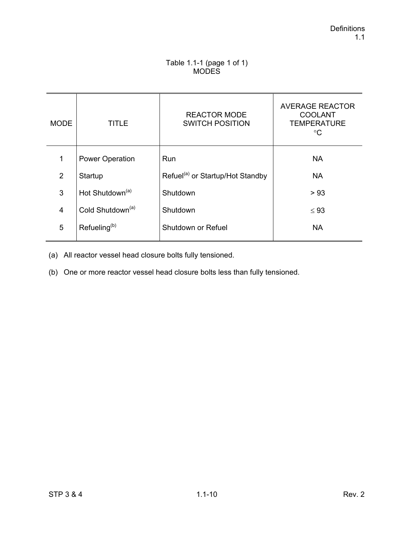### Table 1.1-1 (page 1 of 1) **MODES**

| <b>MODE</b>    | TITLE                        | <b>REACTOR MODE</b><br><b>SWITCH POSITION</b> | <b>AVERAGE REACTOR</b><br><b>COOLANT</b><br><b>TEMPERATURE</b><br>$^{\circ}C$ |
|----------------|------------------------------|-----------------------------------------------|-------------------------------------------------------------------------------|
| 1              | <b>Power Operation</b>       | Run                                           | <b>NA</b>                                                                     |
| 2              | Startup                      | Refuel <sup>(a)</sup> or Startup/Hot Standby  | <b>NA</b>                                                                     |
| 3              | Hot Shutdown <sup>(a)</sup>  | Shutdown                                      | > 93                                                                          |
| $\overline{4}$ | Cold Shutdown <sup>(a)</sup> | Shutdown                                      | $\leq 93$                                                                     |
| 5              | Refueling <sup>(b)</sup>     | Shutdown or Refuel                            | <b>NA</b>                                                                     |

(a) All reactor vessel head closure bolts fully tensioned.

(b) One or more reactor vessel head closure bolts less than fully tensioned.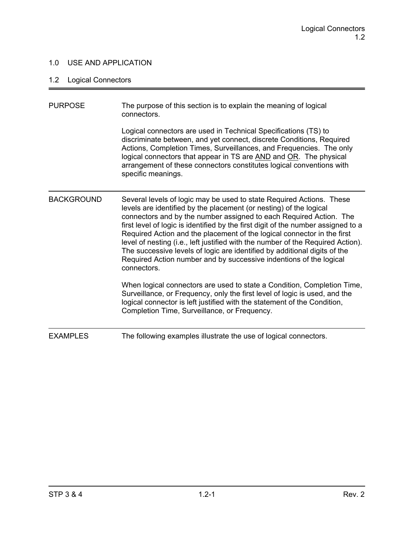### 1.0 USE AND APPLICATION

# 1.2 Logical Connectors

| <b>PURPOSE</b>    | The purpose of this section is to explain the meaning of logical<br>connectors.                                                                                                                                                                                                                                                                                                                                                                                                                                                                                                                                                       |
|-------------------|---------------------------------------------------------------------------------------------------------------------------------------------------------------------------------------------------------------------------------------------------------------------------------------------------------------------------------------------------------------------------------------------------------------------------------------------------------------------------------------------------------------------------------------------------------------------------------------------------------------------------------------|
|                   | Logical connectors are used in Technical Specifications (TS) to<br>discriminate between, and yet connect, discrete Conditions, Required<br>Actions, Completion Times, Surveillances, and Frequencies. The only<br>logical connectors that appear in TS are AND and OR. The physical<br>arrangement of these connectors constitutes logical conventions with<br>specific meanings.                                                                                                                                                                                                                                                     |
| <b>BACKGROUND</b> | Several levels of logic may be used to state Required Actions. These<br>levels are identified by the placement (or nesting) of the logical<br>connectors and by the number assigned to each Required Action. The<br>first level of logic is identified by the first digit of the number assigned to a<br>Required Action and the placement of the logical connector in the first<br>level of nesting (i.e., left justified with the number of the Required Action).<br>The successive levels of logic are identified by additional digits of the<br>Required Action number and by successive indentions of the logical<br>connectors. |
|                   | When logical connectors are used to state a Condition, Completion Time,<br>Surveillance, or Frequency, only the first level of logic is used, and the<br>logical connector is left justified with the statement of the Condition,<br>Completion Time, Surveillance, or Frequency.                                                                                                                                                                                                                                                                                                                                                     |
| <b>EXAMPLES</b>   | The following examples illustrate the use of logical connectors.                                                                                                                                                                                                                                                                                                                                                                                                                                                                                                                                                                      |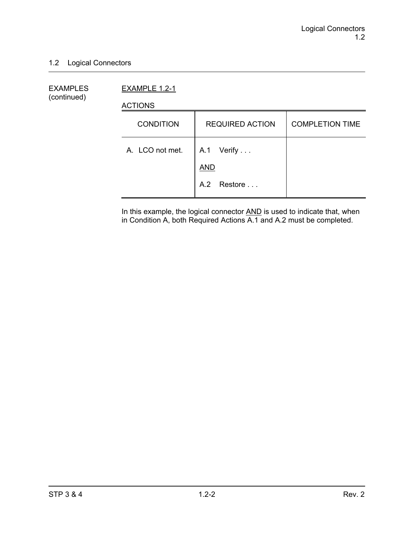### 1.2 Logical Connectors

EXAMPLES EXAMPLE 1.2-1 (continued)

ACTIONS

| <b>CONDITION</b> | <b>REQUIRED ACTION</b>   | <b>COMPLETION TIME</b> |
|------------------|--------------------------|------------------------|
| A. LCO not met.  | A.1 Verify<br><b>AND</b> |                        |
|                  | A.2 Restore              |                        |

In this example, the logical connector **AND** is used to indicate that, when in Condition A, both Required Actions A.1 and A.2 must be completed.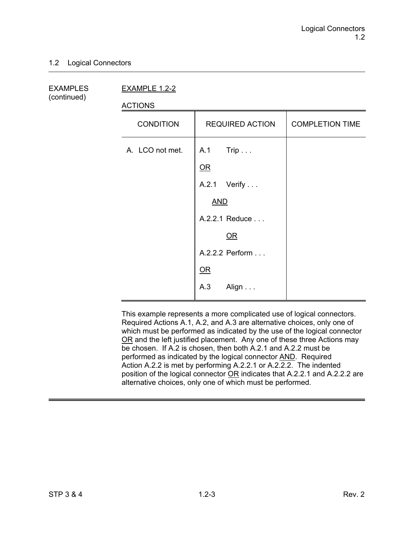#### 1.2 Logical Connectors

(continued)

EXAMPLES EXAMPLE 1.2-2

ACTIONS

| 10110110         |                          |                        |
|------------------|--------------------------|------------------------|
| <b>CONDITION</b> | <b>REQUIRED ACTION</b>   | <b>COMPLETION TIME</b> |
| A. LCO not met.  | A.1 Trip                 |                        |
|                  | $OR$                     |                        |
|                  | A.2.1 Verify             |                        |
|                  | <b>AND</b>               |                        |
|                  | A.2.2.1 Reduce           |                        |
|                  | QR                       |                        |
|                  | A.2.2.2 Perform          |                        |
|                  | $\overline{\mathsf{OR}}$ |                        |
|                  | A.3<br>Align             |                        |

This example represents a more complicated use of logical connectors. Required Actions A.1, A.2, and A.3 are alternative choices, only one of which must be performed as indicated by the use of the logical connector OR and the left justified placement. Any one of these three Actions may be chosen. If A.2 is chosen, then both A.2.1 and A.2.2 must be performed as indicated by the logical connector AND. Required Action A.2.2 is met by performing A.2.2.1 or A.2.2.2. The indented position of the logical connector OR indicates that A.2.2.1 and A.2.2.2 are alternative choices, only one of which must be performed.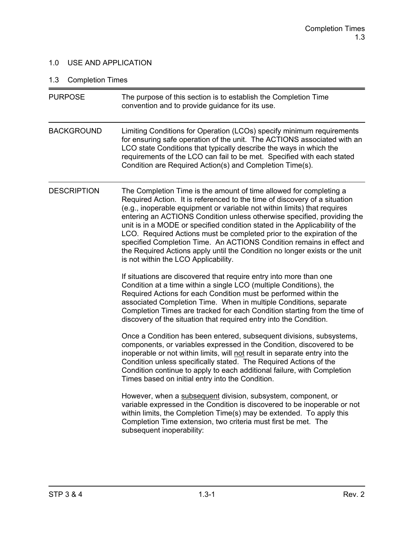### 1.0 USE AND APPLICATION

# 1.3 Completion Times

| <b>PURPOSE</b>     | The purpose of this section is to establish the Completion Time<br>convention and to provide guidance for its use.                                                                                                                                                                                                                                                                                                                                                                                                                                                                                                                                              |
|--------------------|-----------------------------------------------------------------------------------------------------------------------------------------------------------------------------------------------------------------------------------------------------------------------------------------------------------------------------------------------------------------------------------------------------------------------------------------------------------------------------------------------------------------------------------------------------------------------------------------------------------------------------------------------------------------|
| <b>BACKGROUND</b>  | Limiting Conditions for Operation (LCOs) specify minimum requirements<br>for ensuring safe operation of the unit. The ACTIONS associated with an<br>LCO state Conditions that typically describe the ways in which the<br>requirements of the LCO can fail to be met. Specified with each stated<br>Condition are Required Action(s) and Completion Time(s).                                                                                                                                                                                                                                                                                                    |
| <b>DESCRIPTION</b> | The Completion Time is the amount of time allowed for completing a<br>Required Action. It is referenced to the time of discovery of a situation<br>(e.g., inoperable equipment or variable not within limits) that requires<br>entering an ACTIONS Condition unless otherwise specified, providing the<br>unit is in a MODE or specified condition stated in the Applicability of the<br>LCO. Required Actions must be completed prior to the expiration of the<br>specified Completion Time. An ACTIONS Condition remains in effect and<br>the Required Actions apply until the Condition no longer exists or the unit<br>is not within the LCO Applicability. |
|                    | If situations are discovered that require entry into more than one<br>Condition at a time within a single LCO (multiple Conditions), the<br>Required Actions for each Condition must be performed within the<br>associated Completion Time. When in multiple Conditions, separate<br>Completion Times are tracked for each Condition starting from the time of<br>discovery of the situation that required entry into the Condition.                                                                                                                                                                                                                            |
|                    | Once a Condition has been entered, subsequent divisions, subsystems,<br>components, or variables expressed in the Condition, discovered to be<br>inoperable or not within limits, will not result in separate entry into the<br>Condition unless specifically stated. The Required Actions of the<br>Condition continue to apply to each additional failure, with Completion<br>Times based on initial entry into the Condition.                                                                                                                                                                                                                                |
|                    | However, when a subsequent division, subsystem, component, or<br>variable expressed in the Condition is discovered to be inoperable or not<br>within limits, the Completion Time(s) may be extended. To apply this<br>Completion Time extension, two criteria must first be met. The<br>subsequent inoperability:                                                                                                                                                                                                                                                                                                                                               |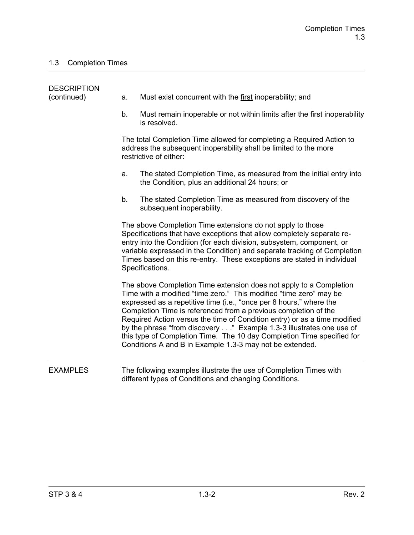| <b>DESCRIPTION</b><br>(continued) | Must exist concurrent with the first inoperability; and<br>a.                                                                                                                                                                                                                                                                                                                                                                                                                                                                                                                |
|-----------------------------------|------------------------------------------------------------------------------------------------------------------------------------------------------------------------------------------------------------------------------------------------------------------------------------------------------------------------------------------------------------------------------------------------------------------------------------------------------------------------------------------------------------------------------------------------------------------------------|
|                                   | Must remain inoperable or not within limits after the first inoperability<br>b.<br>is resolved.                                                                                                                                                                                                                                                                                                                                                                                                                                                                              |
|                                   | The total Completion Time allowed for completing a Required Action to<br>address the subsequent inoperability shall be limited to the more<br>restrictive of either:                                                                                                                                                                                                                                                                                                                                                                                                         |
|                                   | The stated Completion Time, as measured from the initial entry into<br>a.<br>the Condition, plus an additional 24 hours; or                                                                                                                                                                                                                                                                                                                                                                                                                                                  |
|                                   | The stated Completion Time as measured from discovery of the<br>b.<br>subsequent inoperability.                                                                                                                                                                                                                                                                                                                                                                                                                                                                              |
|                                   | The above Completion Time extensions do not apply to those<br>Specifications that have exceptions that allow completely separate re-<br>entry into the Condition (for each division, subsystem, component, or<br>variable expressed in the Condition) and separate tracking of Completion<br>Times based on this re-entry. These exceptions are stated in individual<br>Specifications.                                                                                                                                                                                      |
|                                   | The above Completion Time extension does not apply to a Completion<br>Time with a modified "time zero." This modified "time zero" may be<br>expressed as a repetitive time (i.e., "once per 8 hours," where the<br>Completion Time is referenced from a previous completion of the<br>Required Action versus the time of Condition entry) or as a time modified<br>by the phrase "from discovery" Example 1.3-3 illustrates one use of<br>this type of Completion Time. The 10 day Completion Time specified for<br>Conditions A and B in Example 1.3-3 may not be extended. |
| <b>EXAMPLES</b>                   | The following examples illustrate the use of Completion Times with<br>different types of Conditions and changing Conditions.                                                                                                                                                                                                                                                                                                                                                                                                                                                 |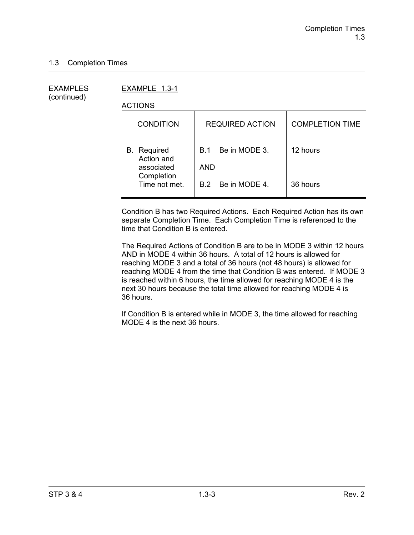(continued)

EXAMPLES EXAMPLE 1.3-1

ACTIONS

| <b>CONDITION</b>                               | <b>REQUIRED ACTION</b>                    | <b>COMPLETION TIME</b> |
|------------------------------------------------|-------------------------------------------|------------------------|
| <b>B.</b> Required<br>Action and<br>associated | Be in MODE 3.<br><b>B</b> 1<br><b>AND</b> | 12 hours               |
| Completion<br>Time not met.                    | B.2 Be in MODE 4.                         | 36 hours               |

Condition B has two Required Actions. Each Required Action has its own separate Completion Time. Each Completion Time is referenced to the time that Condition B is entered.

The Required Actions of Condition B are to be in MODE 3 within 12 hours AND in MODE 4 within 36 hours. A total of 12 hours is allowed for reaching MODE 3 and a total of 36 hours (not 48 hours) is allowed for reaching MODE 4 from the time that Condition B was entered. If MODE 3 is reached within 6 hours, the time allowed for reaching MODE 4 is the next 30 hours because the total time allowed for reaching MODE 4 is 36 hours.

If Condition B is entered while in MODE 3, the time allowed for reaching MODE 4 is the next 36 hours.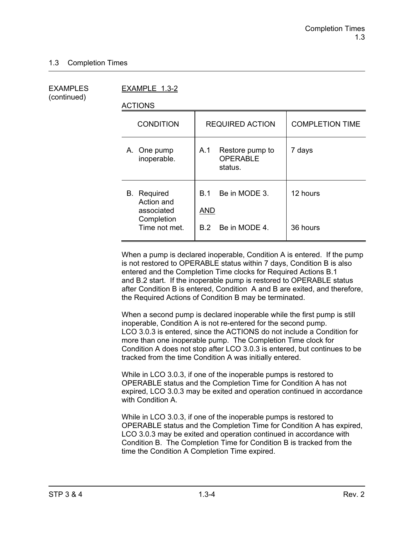(continued)

EXAMPLES EXAMPLE 1.3-2

ACTIONS

| <b>CONDITION</b>                                                              | <b>REQUIRED ACTION</b>                                     | <b>COMPLETION TIME</b> |
|-------------------------------------------------------------------------------|------------------------------------------------------------|------------------------|
| A. One pump<br>inoperable.                                                    | Restore pump to<br>A.1<br><b>OPERABLE</b><br>status.       | 7 days                 |
| <b>B.</b> Required<br>Action and<br>associated<br>Completion<br>Time not met. | Be in MODE 3.<br>B.1<br><b>AND</b><br>Be in MODE 4.<br>B 2 | 12 hours<br>36 hours   |

When a pump is declared inoperable, Condition A is entered. If the pump is not restored to OPERABLE status within 7 days, Condition B is also entered and the Completion Time clocks for Required Actions B.1 and B.2 start. If the inoperable pump is restored to OPERABLE status after Condition B is entered, Condition A and B are exited, and therefore, the Required Actions of Condition B may be terminated.

When a second pump is declared inoperable while the first pump is still inoperable, Condition A is not re-entered for the second pump. LCO 3.0.3 is entered, since the ACTIONS do not include a Condition for more than one inoperable pump. The Completion Time clock for Condition A does not stop after LCO 3.0.3 is entered, but continues to be tracked from the time Condition A was initially entered.

While in LCO 3.0.3, if one of the inoperable pumps is restored to OPERABLE status and the Completion Time for Condition A has not expired, LCO 3.0.3 may be exited and operation continued in accordance with Condition A.

While in LCO 3.0.3, if one of the inoperable pumps is restored to OPERABLE status and the Completion Time for Condition A has expired, LCO 3.0.3 may be exited and operation continued in accordance with Condition B. The Completion Time for Condition B is tracked from the time the Condition A Completion Time expired.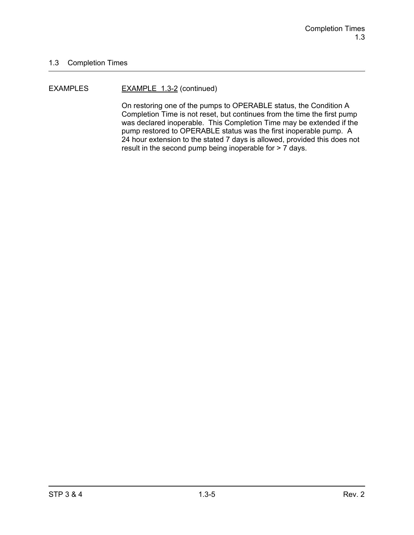#### EXAMPLES EXAMPLE 1.3-2 (continued)

On restoring one of the pumps to OPERABLE status, the Condition A Completion Time is not reset, but continues from the time the first pump was declared inoperable. This Completion Time may be extended if the pump restored to OPERABLE status was the first inoperable pump. A 24 hour extension to the stated 7 days is allowed, provided this does not result in the second pump being inoperable for > 7 days.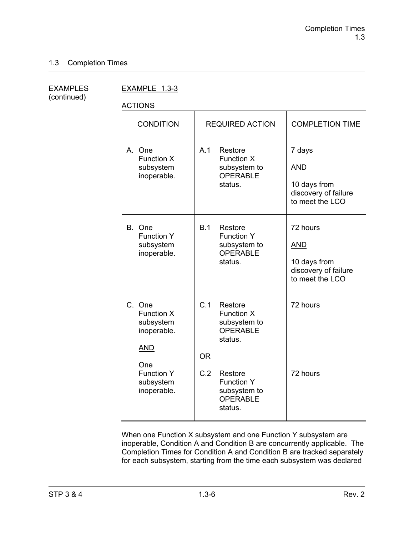(continued)

EXAMPLES EXAMPLE 1.3-3

ACTIONS

| <b>CONDITION</b>                                                                                                              | <b>REQUIRED ACTION</b>                                                                                                                                         | <b>COMPLETION TIME</b>                                                            |
|-------------------------------------------------------------------------------------------------------------------------------|----------------------------------------------------------------------------------------------------------------------------------------------------------------|-----------------------------------------------------------------------------------|
| A. One<br><b>Function X</b><br>subsystem<br>inoperable.                                                                       | A.1<br>Restore<br><b>Function X</b><br>subsystem to<br><b>OPERABLE</b><br>status.                                                                              | 7 days<br><b>AND</b><br>10 days from<br>discovery of failure<br>to meet the LCO   |
| B. One<br><b>Function Y</b><br>subsystem<br>inoperable.                                                                       | B.1<br>Restore<br><b>Function Y</b><br>subsystem to<br><b>OPERABLE</b><br>status.                                                                              | 72 hours<br><b>AND</b><br>10 days from<br>discovery of failure<br>to meet the LCO |
| C. One<br><b>Function X</b><br>subsystem<br>inoperable.<br><b>AND</b><br>One<br><b>Function Y</b><br>subsystem<br>inoperable. | C.1<br>Restore<br>Function X<br>subsystem to<br>OPERABLE<br>status.<br>OR<br>C.2<br>Restore<br><b>Function Y</b><br>subsystem to<br><b>OPERABLE</b><br>status. | 72 hours<br>72 hours                                                              |

When one Function X subsystem and one Function Y subsystem are inoperable, Condition A and Condition B are concurrently applicable. The Completion Times for Condition A and Condition B are tracked separately for each subsystem, starting from the time each subsystem was declared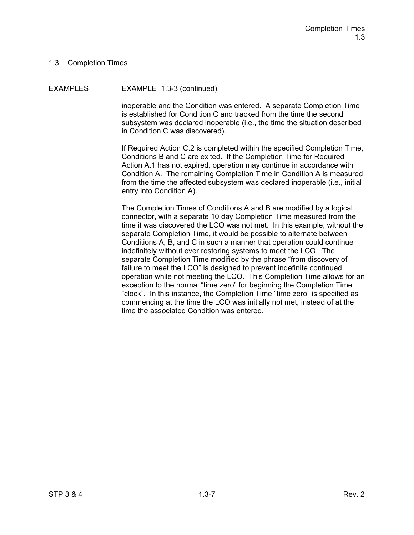#### EXAMPLES EXAMPLE 1.3-3 (continued)

inoperable and the Condition was entered. A separate Completion Time is established for Condition C and tracked from the time the second subsystem was declared inoperable (i.e., the time the situation described in Condition C was discovered).

If Required Action C.2 is completed within the specified Completion Time, Conditions B and C are exited. If the Completion Time for Required Action A.1 has not expired, operation may continue in accordance with Condition A. The remaining Completion Time in Condition A is measured from the time the affected subsystem was declared inoperable (i.e., initial entry into Condition A).

The Completion Times of Conditions A and B are modified by a logical connector, with a separate 10 day Completion Time measured from the time it was discovered the LCO was not met. In this example, without the separate Completion Time, it would be possible to alternate between Conditions A, B, and C in such a manner that operation could continue indefinitely without ever restoring systems to meet the LCO. The separate Completion Time modified by the phrase "from discovery of failure to meet the LCO" is designed to prevent indefinite continued operation while not meeting the LCO. This Completion Time allows for an exception to the normal "time zero" for beginning the Completion Time "clock". In this instance, the Completion Time "time zero" is specified as commencing at the time the LCO was initially not met, instead of at the time the associated Condition was entered.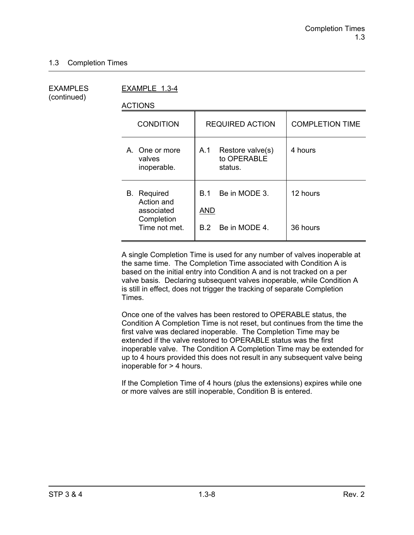(continued)

EXAMPLES EXAMPLE 1.3-4

ACTIONS

| <b>CONDITION</b>                                                              | <b>REQUIRED ACTION</b>                               | <b>COMPLETION TIME</b> |
|-------------------------------------------------------------------------------|------------------------------------------------------|------------------------|
| A. One or more<br>valves<br>inoperable.                                       | A.1<br>Restore valve(s)<br>to OPERABLE<br>status.    | 4 hours                |
| <b>B.</b> Required<br>Action and<br>associated<br>Completion<br>Time not met. | Be in MODE 3.<br>B 1.<br>AND<br>Be in MODE 4.<br>B 2 | 12 hours<br>36 hours   |
|                                                                               |                                                      |                        |

A single Completion Time is used for any number of valves inoperable at the same time. The Completion Time associated with Condition A is based on the initial entry into Condition A and is not tracked on a per valve basis. Declaring subsequent valves inoperable, while Condition A is still in effect, does not trigger the tracking of separate Completion Times.

Once one of the valves has been restored to OPERABLE status, the Condition A Completion Time is not reset, but continues from the time the first valve was declared inoperable. The Completion Time may be extended if the valve restored to OPERABLE status was the first inoperable valve. The Condition A Completion Time may be extended for up to 4 hours provided this does not result in any subsequent valve being inoperable for > 4 hours.

If the Completion Time of 4 hours (plus the extensions) expires while one or more valves are still inoperable, Condition B is entered.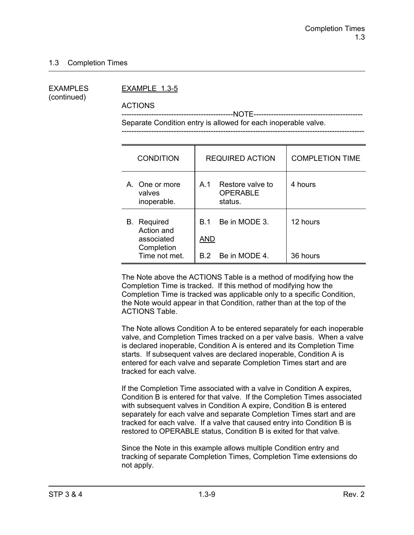(continued)

#### EXAMPLES EXAMPLE 1.3-5

ACTIONS

 ---------------------------------------------NOTE-------------------------------------------- Separate Condition entry is allowed for each inoperable valve.

| <b>CONDITION</b>                                                              | <b>REQUIRED ACTION</b>                                           | <b>COMPLETION TIME</b> |
|-------------------------------------------------------------------------------|------------------------------------------------------------------|------------------------|
| A. One or more<br>valves<br>inoperable.                                       | Restore valve to<br>A <sub>1</sub><br><b>OPERABLE</b><br>status. | 4 hours                |
| <b>B.</b> Required<br>Action and<br>associated<br>Completion<br>Time not met. | Be in MODE 3.<br><b>B</b> 1<br>AND<br>B.2 Be in MODE 4.          | 12 hours<br>36 hours   |

The Note above the ACTIONS Table is a method of modifying how the Completion Time is tracked. If this method of modifying how the Completion Time is tracked was applicable only to a specific Condition, the Note would appear in that Condition, rather than at the top of the ACTIONS Table.

The Note allows Condition A to be entered separately for each inoperable valve, and Completion Times tracked on a per valve basis. When a valve is declared inoperable, Condition A is entered and its Completion Time starts. If subsequent valves are declared inoperable, Condition A is entered for each valve and separate Completion Times start and are tracked for each valve.

If the Completion Time associated with a valve in Condition A expires, Condition B is entered for that valve. If the Completion Times associated with subsequent valves in Condition A expire, Condition B is entered separately for each valve and separate Completion Times start and are tracked for each valve. If a valve that caused entry into Condition B is restored to OPERABLE status, Condition B is exited for that valve.

Since the Note in this example allows multiple Condition entry and tracking of separate Completion Times, Completion Time extensions do not apply.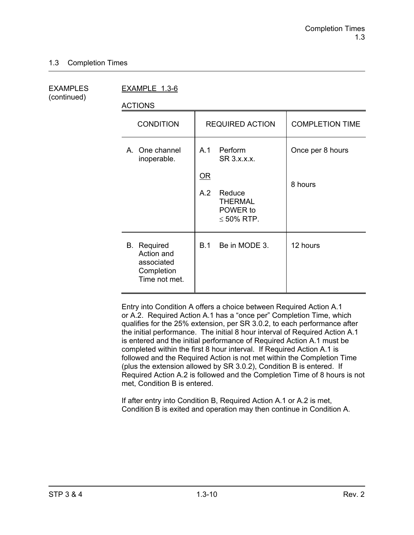(continued)

EXAMPLES EXAMPLE 1.3-6

ACTIONS

| <b>CONDITION</b>                                                              | <b>REQUIRED ACTION</b>                                                                                                        | <b>COMPLETION TIME</b>      |
|-------------------------------------------------------------------------------|-------------------------------------------------------------------------------------------------------------------------------|-----------------------------|
| A. One channel<br>inoperable.                                                 | Perform<br>A.1<br>SR 3.x.x.x.<br>$\underline{\mathsf{OR}}$<br>A.2<br>Reduce<br><b>THERMAL</b><br>POWER to<br>$\leq 50\%$ RTP. | Once per 8 hours<br>8 hours |
| <b>B.</b> Required<br>Action and<br>associated<br>Completion<br>Time not met. | Be in MODE 3.<br>B.1                                                                                                          | 12 hours                    |

Entry into Condition A offers a choice between Required Action A.1 or A.2. Required Action A.1 has a "once per" Completion Time, which qualifies for the 25% extension, per SR 3.0.2, to each performance after the initial performance. The initial 8 hour interval of Required Action A.1 is entered and the initial performance of Required Action A.1 must be completed within the first 8 hour interval. If Required Action A.1 is followed and the Required Action is not met within the Completion Time (plus the extension allowed by SR 3.0.2), Condition B is entered. If Required Action A.2 is followed and the Completion Time of 8 hours is not met, Condition B is entered.

If after entry into Condition B, Required Action A.1 or A.2 is met, Condition B is exited and operation may then continue in Condition A.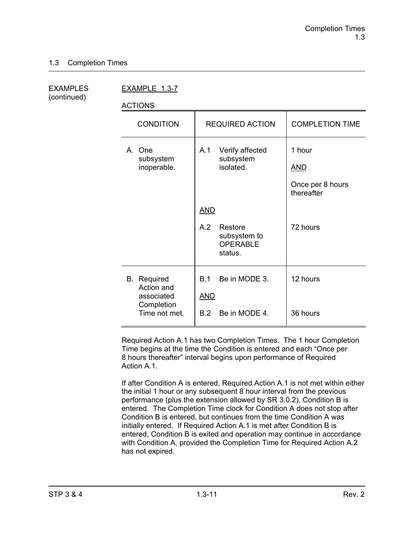(continued)

EXAMPLES EXAMPLE 1.3-7

ACTIONS

| <b>CONDITION</b>                                                              | <b>REQUIRED ACTION</b>                                                     | <b>COMPLETION TIME</b>                                 |
|-------------------------------------------------------------------------------|----------------------------------------------------------------------------|--------------------------------------------------------|
| A. One<br>subsystem<br>inoperable.                                            | Verify affected<br>A.1<br>subsystem<br>isolated.                           | 1 hour<br><b>AND</b><br>Once per 8 hours<br>thereafter |
|                                                                               | <u>AND</u><br>A.2<br>Restore<br>subsystem to<br><b>OPERABLE</b><br>status. | 72 hours                                               |
| <b>B.</b> Required<br>Action and<br>associated<br>Completion<br>Time not met. | Be in MODE 3.<br><b>B.1</b><br><b>AND</b><br>Be in MODE 4.<br>B.2          | 12 hours<br>36 hours                                   |

Required Action A.1 has two Completion Times. The 1 hour Completion Time begins at the time the Condition is entered and each "Once per 8 hours thereafter" interval begins upon performance of Required Action A<sub>1</sub>

If after Condition A is entered, Required Action A.1 is not met within either the initial 1 hour or any subsequent 8 hour interval from the previous performance (plus the extension allowed by SR 3.0.2), Condition B is entered. The Completion Time clock for Condition A does not stop after Condition B is entered, but continues from the time Condition A was initially entered. If Required Action A.1 is met after Condition B is entered, Condition B is exited and operation may continue in accordance with Condition A, provided the Completion Time for Required Action A.2 has not expired.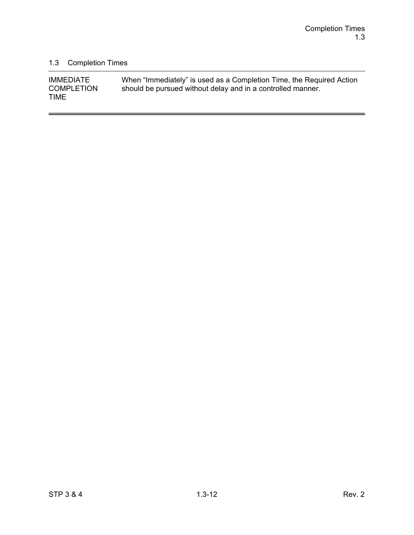$\overline{a}$ 

## 1.3 Completion Times

| <b>IMMEDIATE</b>  | When "Immediately" is used as a Completion Time, the Required Action |
|-------------------|----------------------------------------------------------------------|
| <b>COMPLETION</b> | should be pursued without delay and in a controlled manner.          |
| <b>TIME</b>       |                                                                      |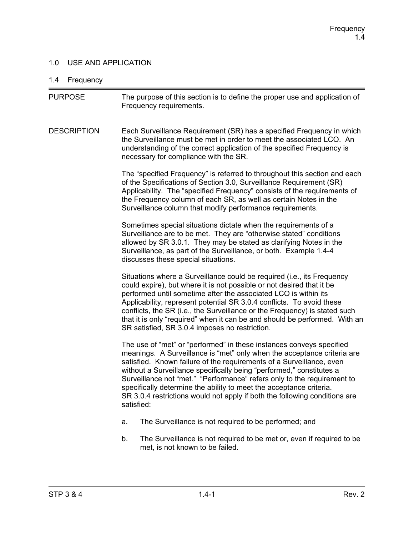### 1.0 USE AND APPLICATION

# 1.4 Frequency

| <b>PURPOSE</b>     | The purpose of this section is to define the proper use and application of<br>Frequency requirements.                                                                                                                                                                                                                                                                                                                                                                                                                                         |
|--------------------|-----------------------------------------------------------------------------------------------------------------------------------------------------------------------------------------------------------------------------------------------------------------------------------------------------------------------------------------------------------------------------------------------------------------------------------------------------------------------------------------------------------------------------------------------|
| <b>DESCRIPTION</b> | Each Surveillance Requirement (SR) has a specified Frequency in which<br>the Surveillance must be met in order to meet the associated LCO. An<br>understanding of the correct application of the specified Frequency is<br>necessary for compliance with the SR.                                                                                                                                                                                                                                                                              |
|                    | The "specified Frequency" is referred to throughout this section and each<br>of the Specifications of Section 3.0, Surveillance Requirement (SR)<br>Applicability. The "specified Frequency" consists of the requirements of<br>the Frequency column of each SR, as well as certain Notes in the<br>Surveillance column that modify performance requirements.                                                                                                                                                                                 |
|                    | Sometimes special situations dictate when the requirements of a<br>Surveillance are to be met. They are "otherwise stated" conditions<br>allowed by SR 3.0.1. They may be stated as clarifying Notes in the<br>Surveillance, as part of the Surveillance, or both. Example 1.4-4<br>discusses these special situations.                                                                                                                                                                                                                       |
|                    | Situations where a Surveillance could be required (i.e., its Frequency<br>could expire), but where it is not possible or not desired that it be<br>performed until sometime after the associated LCO is within its<br>Applicability, represent potential SR 3.0.4 conflicts. To avoid these<br>conflicts, the SR (i.e., the Surveillance or the Frequency) is stated such<br>that it is only "required" when it can be and should be performed. With an<br>SR satisfied, SR 3.0.4 imposes no restriction.                                     |
|                    | The use of "met" or "performed" in these instances conveys specified<br>meanings. A Surveillance is "met" only when the acceptance criteria are<br>satisfied. Known failure of the requirements of a Surveillance, even<br>without a Surveillance specifically being "performed," constitutes a<br>Surveillance not "met." "Performance" refers only to the requirement to<br>specifically determine the ability to meet the acceptance criteria.<br>SR 3.0.4 restrictions would not apply if both the following conditions are<br>satisfied: |
|                    | The Surveillance is not required to be performed; and<br>a.                                                                                                                                                                                                                                                                                                                                                                                                                                                                                   |
|                    | The Surveillance is not required to be met or, even if required to be<br>b.<br>met, is not known to be failed.                                                                                                                                                                                                                                                                                                                                                                                                                                |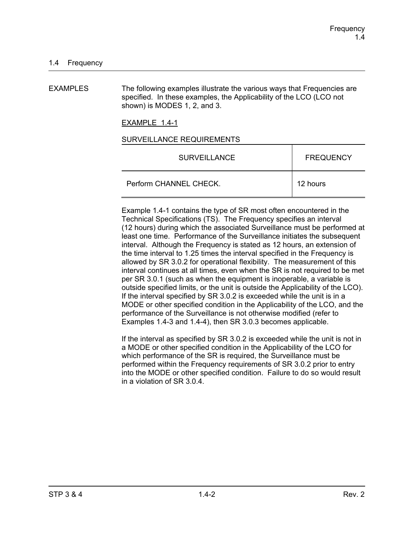EXAMPLES The following examples illustrate the various ways that Frequencies are specified. In these examples, the Applicability of the LCO (LCO not shown) is MODES 1, 2, and 3.

EXAMPLE 1.4-1

#### SURVEILLANCE REQUIREMENTS

| <b>SURVEILLANCE</b>    | <b>FREQUENCY</b> |
|------------------------|------------------|
| Perform CHANNEL CHECK. | 12 hours         |

Example 1.4-1 contains the type of SR most often encountered in the Technical Specifications (TS). The Frequency specifies an interval (12 hours) during which the associated Surveillance must be performed at least one time. Performance of the Surveillance initiates the subsequent interval. Although the Frequency is stated as 12 hours, an extension of the time interval to 1.25 times the interval specified in the Frequency is allowed by SR 3.0.2 for operational flexibility. The measurement of this interval continues at all times, even when the SR is not required to be met per SR 3.0.1 (such as when the equipment is inoperable, a variable is outside specified limits, or the unit is outside the Applicability of the LCO). If the interval specified by SR 3.0.2 is exceeded while the unit is in a MODE or other specified condition in the Applicability of the LCO, and the performance of the Surveillance is not otherwise modified (refer to Examples 1.4-3 and 1.4-4), then SR 3.0.3 becomes applicable.

If the interval as specified by SR 3.0.2 is exceeded while the unit is not in a MODE or other specified condition in the Applicability of the LCO for which performance of the SR is required, the Surveillance must be performed within the Frequency requirements of SR 3.0.2 prior to entry into the MODE or other specified condition. Failure to do so would result in a violation of SR 3.0.4.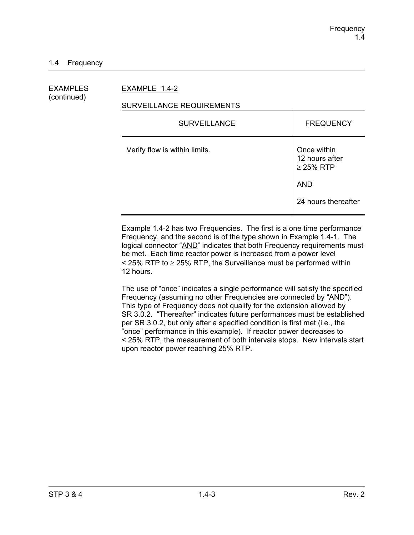EXAMPLES EXAMPLE 1.4-2

# (continued)

### SURVEILLANCE REQUIREMENTS

| <b>FREQUENCY</b>                                |
|-------------------------------------------------|
| Once within<br>12 hours after<br>$\geq$ 25% RTP |
| <b>AND</b>                                      |
| 24 hours thereafter                             |
|                                                 |

Example 1.4-2 has two Frequencies. The first is a one time performance Frequency, and the second is of the type shown in Example 1.4-1. The logical connector "AND" indicates that both Frequency requirements must be met. Each time reactor power is increased from a power level  $\le$  25% RTP to  $\ge$  25% RTP, the Surveillance must be performed within 12 hours.

The use of "once" indicates a single performance will satisfy the specified Frequency (assuming no other Frequencies are connected by "AND"). This type of Frequency does not qualify for the extension allowed by SR 3.0.2. "Thereafter" indicates future performances must be established per SR 3.0.2, but only after a specified condition is first met (i.e., the "once" performance in this example). If reactor power decreases to < 25% RTP, the measurement of both intervals stops. New intervals start upon reactor power reaching 25% RTP.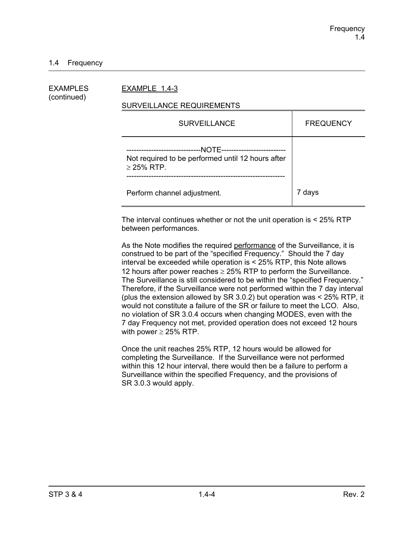### 1.4 Frequency

| EXAMPLES<br>(continued) | EXAMPLE 1.4-3                                                                                                                           |                  |  |
|-------------------------|-----------------------------------------------------------------------------------------------------------------------------------------|------------------|--|
|                         | SURVEILLANCE REQUIREMENTS                                                                                                               |                  |  |
|                         | <b>SURVEILLANCE</b>                                                                                                                     | <b>FREQUENCY</b> |  |
|                         | --NOTE---------------------------<br>--------------------------<br>Not required to be performed until 12 hours after<br>$\geq$ 25% RTP. |                  |  |
|                         | Perform channel adjustment.                                                                                                             | 7 days           |  |

The interval continues whether or not the unit operation is < 25% RTP between performances.

As the Note modifies the required performance of the Surveillance, it is construed to be part of the "specified Frequency." Should the 7 day interval be exceeded while operation is < 25% RTP, this Note allows 12 hours after power reaches  $\geq$  25% RTP to perform the Surveillance. The Surveillance is still considered to be within the "specified Frequency." Therefore, if the Surveillance were not performed within the 7 day interval (plus the extension allowed by SR 3.0.2) but operation was < 25% RTP, it would not constitute a failure of the SR or failure to meet the LCO. Also, no violation of SR 3.0.4 occurs when changing MODES, even with the 7 day Frequency not met, provided operation does not exceed 12 hours with power  $\geq$  25% RTP.

Once the unit reaches 25% RTP, 12 hours would be allowed for completing the Surveillance. If the Surveillance were not performed within this 12 hour interval, there would then be a failure to perform a Surveillance within the specified Frequency, and the provisions of SR 3.0.3 would apply.